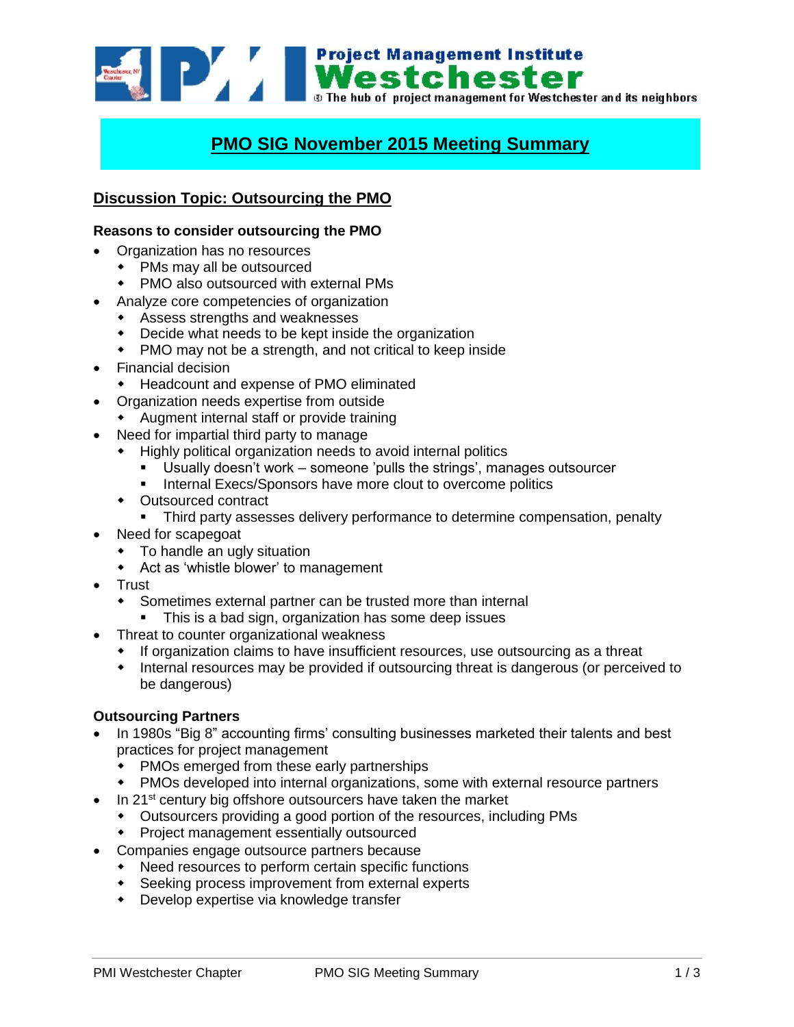

# **PMO SIG November 2015 Meeting Summary**

# **Discussion Topic: Outsourcing the PMO**

### **Reasons to consider outsourcing the PMO**

- Organization has no resources
	- PMs may all be outsourced
		- PMO also outsourced with external PMs
- Analyze core competencies of organization
	- Assess strengths and weaknesses
	- Decide what needs to be kept inside the organization
	- PMO may not be a strength, and not critical to keep inside
- Financial decision
	- Headcount and expense of PMO eliminated
- Organization needs expertise from outside
	- Augment internal staff or provide training
- Need for impartial third party to manage
	- Highly political organization needs to avoid internal politics
		- Usually doesn't work someone 'pulls the strings', manages outsourcer
		- Internal Execs/Sponsors have more clout to overcome politics
	- Outsourced contract
		- Third party assesses delivery performance to determine compensation, penalty
- Need for scapegoat
	- To handle an ugly situation
	- Act as 'whistle blower' to management
- **Trust** 
	- Sometimes external partner can be trusted more than internal
	- This is a bad sign, organization has some deep issues
	- Threat to counter organizational weakness
		- If organization claims to have insufficient resources, use outsourcing as a threat
		- Internal resources may be provided if outsourcing threat is dangerous (or perceived to be dangerous)

#### **Outsourcing Partners**

- In 1980s "Big 8" accounting firms' consulting businesses marketed their talents and best practices for project management
	- PMOs emerged from these early partnerships
	- PMOs developed into internal organizations, some with external resource partners
- In 21<sup>st</sup> century big offshore outsourcers have taken the market
	- Outsourcers providing a good portion of the resources, including PMs
	- Project management essentially outsourced
- Companies engage outsource partners because
	- Need resources to perform certain specific functions
	- Seeking process improvement from external experts
	- Develop expertise via knowledge transfer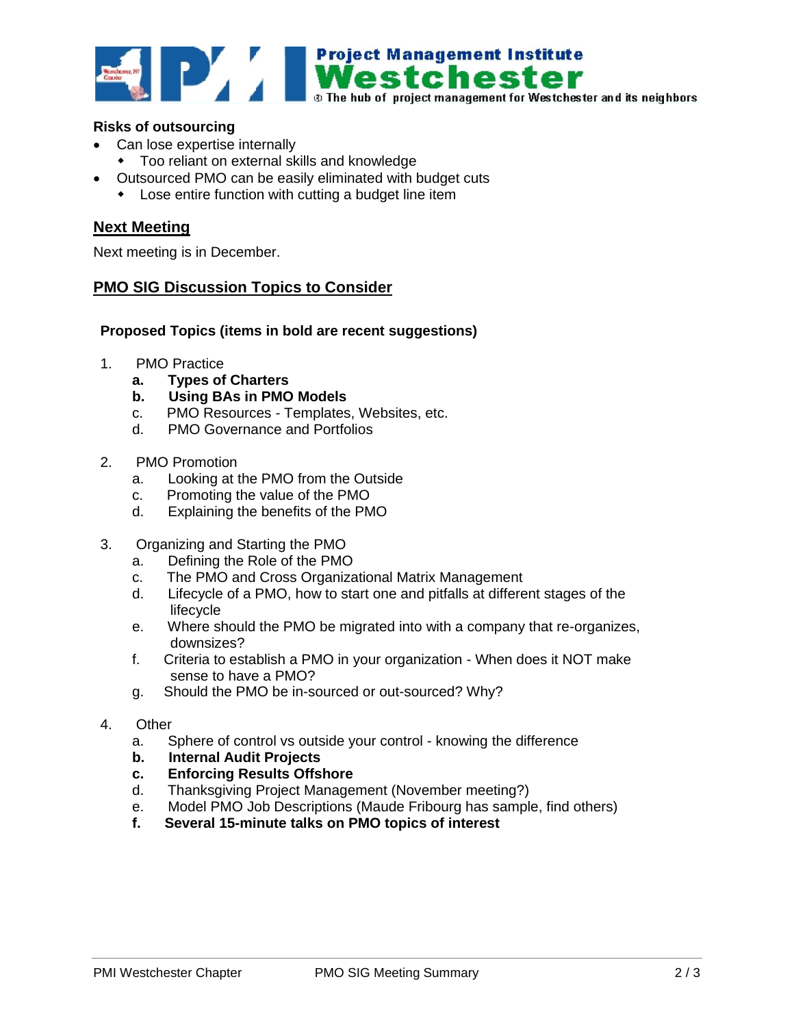

## **Risks of outsourcing**

- Can lose expertise internally
- Too reliant on external skills and knowledge
- Outsourced PMO can be easily eliminated with budget cuts
	- Lose entire function with cutting a budget line item

## **Next Meeting**

Next meeting is in December.

# **PMO SIG Discussion Topics to Consider**

#### **Proposed Topics (items in bold are recent suggestions)**

- 1. PMO Practice
	- **a. Types of Charters**
	- **b. Using BAs in PMO Models**
	- c. PMO Resources Templates, Websites, etc.
	- d. PMO Governance and Portfolios
- 2. PMO Promotion
	- a. Looking at the PMO from the Outside
	- c. Promoting the value of the PMO
	- d. Explaining the benefits of the PMO
- 3. Organizing and Starting the PMO
	- a. Defining the Role of the PMO
	- c. The PMO and Cross Organizational Matrix Management
	- d. Lifecycle of a PMO, how to start one and pitfalls at different stages of the lifecycle
	- e. Where should the PMO be migrated into with a company that re-organizes, downsizes?
	- f. Criteria to establish a PMO in your organization When does it NOT make sense to have a PMO?
	- g. Should the PMO be in-sourced or out-sourced? Why?
- 4. Other
	- a. Sphere of control vs outside your control knowing the difference
	- **b. Internal Audit Projects**
	- **c. Enforcing Results Offshore**
	- d. Thanksgiving Project Management (November meeting?)
	- e. Model PMO Job Descriptions (Maude Fribourg has sample, find others)
	- **f. Several 15-minute talks on PMO topics of interest**